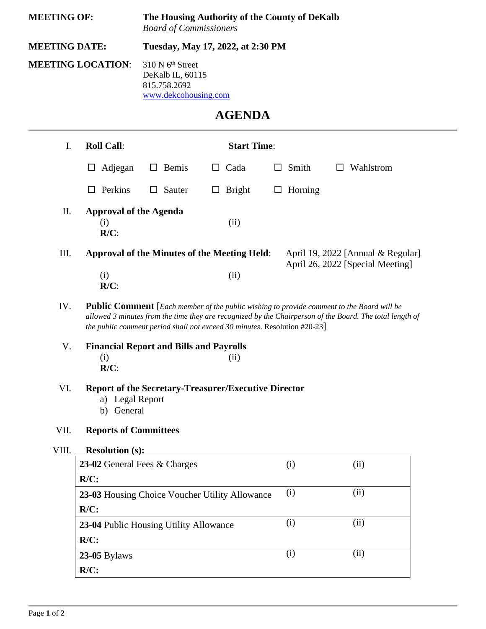| <b>MEETING OF:</b>              |                                                                                                                                                                                                                                                                                    | The Housing Authority of the County of DeKalb<br><b>Board of Commissioners</b> |               |   |                |                                   |  |  |  |
|---------------------------------|------------------------------------------------------------------------------------------------------------------------------------------------------------------------------------------------------------------------------------------------------------------------------------|--------------------------------------------------------------------------------|---------------|---|----------------|-----------------------------------|--|--|--|
| <b>MEETING DATE:</b>            |                                                                                                                                                                                                                                                                                    | Tuesday, May 17, 2022, at 2:30 PM                                              |               |   |                |                                   |  |  |  |
| <b>MEETING LOCATION:</b>        | 815.758.2692                                                                                                                                                                                                                                                                       | 310 N 6 <sup>th</sup> Street<br>DeKalb IL, 60115<br>www.dekcohousing.com       |               |   |                |                                   |  |  |  |
| <b>AGENDA</b>                   |                                                                                                                                                                                                                                                                                    |                                                                                |               |   |                |                                   |  |  |  |
| <b>Roll Call:</b><br>I.         |                                                                                                                                                                                                                                                                                    | <b>Start Time:</b>                                                             |               |   |                |                                   |  |  |  |
| Adjegan<br>⊔                    | Bemis<br>$\Box$                                                                                                                                                                                                                                                                    | $\Box$                                                                         | Cada          | ப | Smith          | Wahlstrom<br>ப                    |  |  |  |
| $\Box$ Perkins                  | $\Box$ Sauter                                                                                                                                                                                                                                                                      | $\Box$                                                                         | <b>Bright</b> |   | $\Box$ Horning |                                   |  |  |  |
| Π.<br>(i)<br>$R/C$ :            | <b>Approval of the Agenda</b>                                                                                                                                                                                                                                                      |                                                                                | (ii)          |   |                |                                   |  |  |  |
| III.                            | <b>Approval of the Minutes of the Meeting Held:</b>                                                                                                                                                                                                                                |                                                                                |               |   |                | April 19, 2022 [Annual & Regular] |  |  |  |
| (i)<br>$R/C$ :                  |                                                                                                                                                                                                                                                                                    |                                                                                | (ii)          |   |                | April 26, 2022 [Special Meeting]  |  |  |  |
| IV.                             | Public Comment [Each member of the public wishing to provide comment to the Board will be<br>allowed 3 minutes from the time they are recognized by the Chairperson of the Board. The total length of<br>the public comment period shall not exceed 30 minutes. Resolution #20-23] |                                                                                |               |   |                |                                   |  |  |  |
| V.<br>(i)<br>$R/C$ :            | <b>Financial Report and Bills and Payrolls</b>                                                                                                                                                                                                                                     |                                                                                | (ii)          |   |                |                                   |  |  |  |
| VI.<br>b) General               | <b>Report of the Secretary-Treasurer/Executive Director</b><br>a) Legal Report                                                                                                                                                                                                     |                                                                                |               |   |                |                                   |  |  |  |
| VII.                            | <b>Reports of Committees</b>                                                                                                                                                                                                                                                       |                                                                                |               |   |                |                                   |  |  |  |
| VIII.<br><b>Resolution (s):</b> |                                                                                                                                                                                                                                                                                    |                                                                                |               |   |                |                                   |  |  |  |
|                                 | 23-02 General Fees & Charges                                                                                                                                                                                                                                                       |                                                                                |               |   | (i)            | (ii)                              |  |  |  |
| $R/C$ :                         |                                                                                                                                                                                                                                                                                    |                                                                                |               |   |                |                                   |  |  |  |
|                                 |                                                                                                                                                                                                                                                                                    | 23-03 Housing Choice Voucher Utility Allowance                                 |               |   | (i)            | (ii)                              |  |  |  |
|                                 | $R/C$ :                                                                                                                                                                                                                                                                            |                                                                                |               |   |                |                                   |  |  |  |
|                                 | (i)<br>(ii)<br>23-04 Public Housing Utility Allowance                                                                                                                                                                                                                              |                                                                                |               |   |                |                                   |  |  |  |
| $R/C$ :                         |                                                                                                                                                                                                                                                                                    |                                                                                |               |   | (i)            | (ii)                              |  |  |  |
| 23-05 Bylaws<br>$R/C$ :         |                                                                                                                                                                                                                                                                                    |                                                                                |               |   |                |                                   |  |  |  |